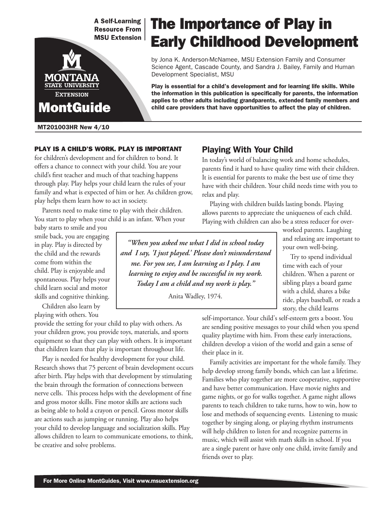**A Self-Learning Resource From MSU Extension** 



MT201003HR New 4/10

#### PLAY IS A CHILD'S WORK. PLAY IS IMPORTANT

for children's development and for children to bond. It offers a chance to connect with your child. You are your child's first teacher and much of that teaching happens through play. Play helps your child learn the rules of your family and what is expected of him or her. As children grow, play helps them learn how to act in society.

Parents need to make time to play with their children. You start to play when your child is an infant. When your

baby starts to smile and you smile back, you are engaging in play. Play is directed by the child and the rewards come from within the child. Play is enjoyable and spontaneous. Play helps your child learn social and motor skills and cognitive thinking.

Children also learn by playing with others. You

provide the setting for your child to play with others. As your children grow, you provide toys, materials, and sports equipment so that they can play with others. It is important that children learn that play is important throughout life.

Play is needed for healthy development for your child. Research shows that 75 percent of brain development occurs after birth. Play helps with that development by stimulating the brain through the formation of connections between nerve cells. This process helps with the development of fine and gross motor skills. Fine motor skills are actions such as being able to hold a crayon or pencil. Gross motor skills are actions such as jumping or running. Play also helps your child to develop language and socialization skills. Play allows children to learn to communicate emotions, to think, be creative and solve problems.

## Playing With Your Child

In today's world of balancing work and home schedules, parents find it hard to have quality time with their children. It is essential for parents to make the best use of time they have with their children. Your child needs time with you to relax and play.

Playing with children builds lasting bonds. Playing allows parents to appreciate the uniqueness of each child. Playing with children can also be a stress reducer for over-

*"When you asked me what I did in school today and I say, 'I just played.' Please don't misunderstand me. For you see, I am learning as I play. I am learning to enjoy and be successful in my work. Today I am a child and my work is play."*

Anita Wadley, 1974.

worked parents. Laughing and relaxing are important to your own well-being.

Try to spend individual time with each of your children. When a parent or sibling plays a board game with a child, shares a bike ride, plays baseball, or reads a story, the child learns

self-importance. Your child's self-esteem gets a boost. You are sending positive messages to your child when you spend quality playtime with him. From these early interactions, children develop a vision of the world and gain a sense of their place in it.

Family activities are important for the whole family. They help develop strong family bonds, which can last a lifetime. Families who play together are more cooperative, supportive and have better communication. Have movie nights and game nights, or go for walks together. A game night allows parents to teach children to take turns, how to win, how to lose and methods of sequencing events. Listening to music together by singing along, or playing rhythm instruments will help children to listen for and recognize patterns in music, which will assist with math skills in school. If you are a single parent or have only one child, invite family and friends over to play.

# The Importance of Play in Early Childhood Development

by Jona K. Anderson-McNamee, MSU Extension Family and Consumer Science Agent, Cascade County, and Sandra J. Bailey, Family and Human Development Specialist, MSU

Play is essential for a child's development and for learning life skills. While the information in this publication is specifically for parents, the information applies to other adults including grandparents, extended family members and child care providers that have opportunities to affect the play of children.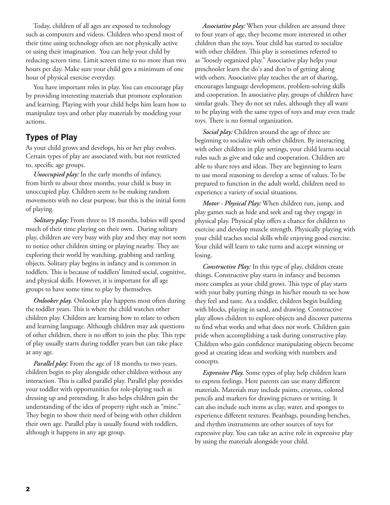Today, children of all ages are exposed to technology such as computers and videos. Children who spend most of their time using technology often are not physically active or using their imagination. You can help your child by reducing screen time. Limit screen time to no more than two hours per day. Make sure your child gets a minimum of one hour of physical exercise everyday.

You have important roles in play. You can encourage play by providing interesting materials that promote exploration and learning. Playing with your child helps him learn how to manipulate toys and other play materials by modeling your actions.

#### Types of Play

As your child grows and develops, his or her play evolves. Certain types of play are associated with, but not restricted to, specific age groups.

*Unoccupied play:* In the early months of infancy, from birth to about three months, your child is busy in unoccupied play. Children seem to be making random movements with no clear purpose, but this is the initial form of playing.

*Solitary play:* From three to 18 months, babies will spend much of their time playing on their own. During solitary play, children are very busy with play and they may not seem to notice other children sitting or playing nearby. They are exploring their world by watching, grabbing and rattling objects. Solitary play begins in infancy and is common in toddlers. This is because of toddlers' limited social, cognitive, and physical skills. However, it is important for all age groups to have some time to play by themselves.

*Onlooker play.* Onlooker play happens most often during the toddler years. This is where the child watches other children play. Children are learning how to relate to others and learning language. Although children may ask questions of other children, there is no effort to join the play. This type of play usually starts during toddler years but can take place at any age.

*Parallel play:* From the age of 18 months to two years, children begin to play alongside other children without any interaction. This is called parallel play. Parallel play provides your toddler with opportunities for role-playing such as dressing up and pretending. It also helps children gain the understanding of the idea of property right such as "mine." They begin to show their need of being with other children their own age. Parallel play is usually found with toddlers, although it happens in any age group.

*Associative play:* When your children are around three to four years of age, they become more interested in other children than the toys. Your child has started to socialize with other children. This play is sometimes referred to as "loosely organized play." Associative play helps your preschooler learn the do's and don'ts of getting along with others. Associative play teaches the art of sharing, encourages language development, problem-solving skills and cooperation. In associative play, groups of children have similar goals. They do not set rules, although they all want to be playing with the same types of toys and may even trade toys. There is no formal organization.

*Social play:* Children around the age of three are beginning to socialize with other children. By interacting with other children in play settings, your child learns social rules such as give and take and cooperation. Children are able to share toys and ideas. They are beginning to learn to use moral reasoning to develop a sense of values. To be prepared to function in the adult world, children need to experience a variety of social situations.

*Motor - Physical Play:* When children run, jump, and play games such as hide and seek and tag they engage in physical play. Physical play offers a chance for children to exercise and develop muscle strength. Physically playing with your child teaches social skills while enjoying good exercise. Your child will learn to take turns and accept winning or losing.

*Constructive Play:* In this type of play, children create things. Constructive play starts in infancy and becomes more complex as your child grows. This type of play starts with your baby putting things in his/her mouth to see how they feel and taste. As a toddler, children begin building with blocks, playing in sand, and drawing. Constructive play allows children to explore objects and discover patterns to find what works and what does not work. Children gain pride when accomplishing a task during constructive play. Children who gain confidence manipulating objects become good at creating ideas and working with numbers and concepts.

*Expressive Play.* Some types of play help children learn to express feelings. Here parents can use many different materials. Materials may include paints, crayons, colored pencils and markers for drawing pictures or writing. It can also include such items as clay, water, and sponges to experience different textures. Beanbags, pounding benches, and rhythm instruments are other sources of toys for expressive play. You can take an active role in expressive play by using the materials alongside your child.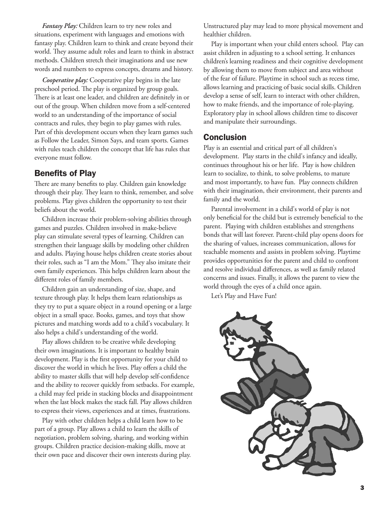*Fantasy Play:* Children learn to try new roles and situations, experiment with languages and emotions with fantasy play. Children learn to think and create beyond their world. They assume adult roles and learn to think in abstract methods. Children stretch their imaginations and use new words and numbers to express concepts, dreams and history.

*Cooperative play:* Cooperative play begins in the late preschool period. The play is organized by group goals. There is at least one leader, and children are definitely in or out of the group. When children move from a self-centered world to an understanding of the importance of social contracts and rules, they begin to play games with rules. Part of this development occurs when they learn games such as Follow the Leader, Simon Says, and team sports. Games with rules teach children the concept that life has rules that everyone must follow.

#### Benefits of Play

There are many benefits to play. Children gain knowledge through their play. They learn to think, remember, and solve problems. Play gives children the opportunity to test their beliefs about the world.

Children increase their problem-solving abilities through games and puzzles. Children involved in make-believe play can stimulate several types of learning. Children can strengthen their language skills by modeling other children and adults. Playing house helps children create stories about their roles, such as "I am the Mom." They also imitate their own family experiences. This helps children learn about the different roles of family members.

Children gain an understanding of size, shape, and texture through play. It helps them learn relationships as they try to put a square object in a round opening or a large object in a small space. Books, games, and toys that show pictures and matching words add to a child's vocabulary. It also helps a child's understanding of the world.

Play allows children to be creative while developing their own imaginations. It is important to healthy brain development. Play is the first opportunity for your child to discover the world in which he lives. Play offers a child the ability to master skills that will help develop self-confidence and the ability to recover quickly from setbacks. For example, a child may feel pride in stacking blocks and disappointment when the last block makes the stack fall. Play allows children to express their views, experiences and at times, frustrations.

Play with other children helps a child learn how to be part of a group. Play allows a child to learn the skills of negotiation, problem solving, sharing, and working within groups. Children practice decision-making skills, move at their own pace and discover their own interests during play.

Unstructured play may lead to more physical movement and healthier children.

Play is important when your child enters school. Play can assist children in adjusting to a school setting. It enhances children's learning readiness and their cognitive development by allowing them to move from subject and area without of the fear of failure. Playtime in school such as recess time, allows learning and practicing of basic social skills. Children develop a sense of self, learn to interact with other children, how to make friends, and the importance of role-playing. Exploratory play in school allows children time to discover and manipulate their surroundings.

#### **Conclusion**

Play is an essential and critical part of all children's development. Play starts in the child's infancy and ideally, continues throughout his or her life. Play is how children learn to socialize, to think, to solve problems, to mature and most importantly, to have fun. Play connects children with their imagination, their environment, their parents and family and the world.

Parental involvement in a child's world of play is not only beneficial for the child but is extremely beneficial to the parent. Playing with children establishes and strengthens bonds that will last forever. Parent-child play opens doors for the sharing of values, increases communication, allows for teachable moments and assists in problem solving. Playtime provides opportunities for the parent and child to confront and resolve individual differences, as well as family related concerns and issues. Finally, it allows the parent to view the world through the eyes of a child once again.

Let's Play and Have Fun!